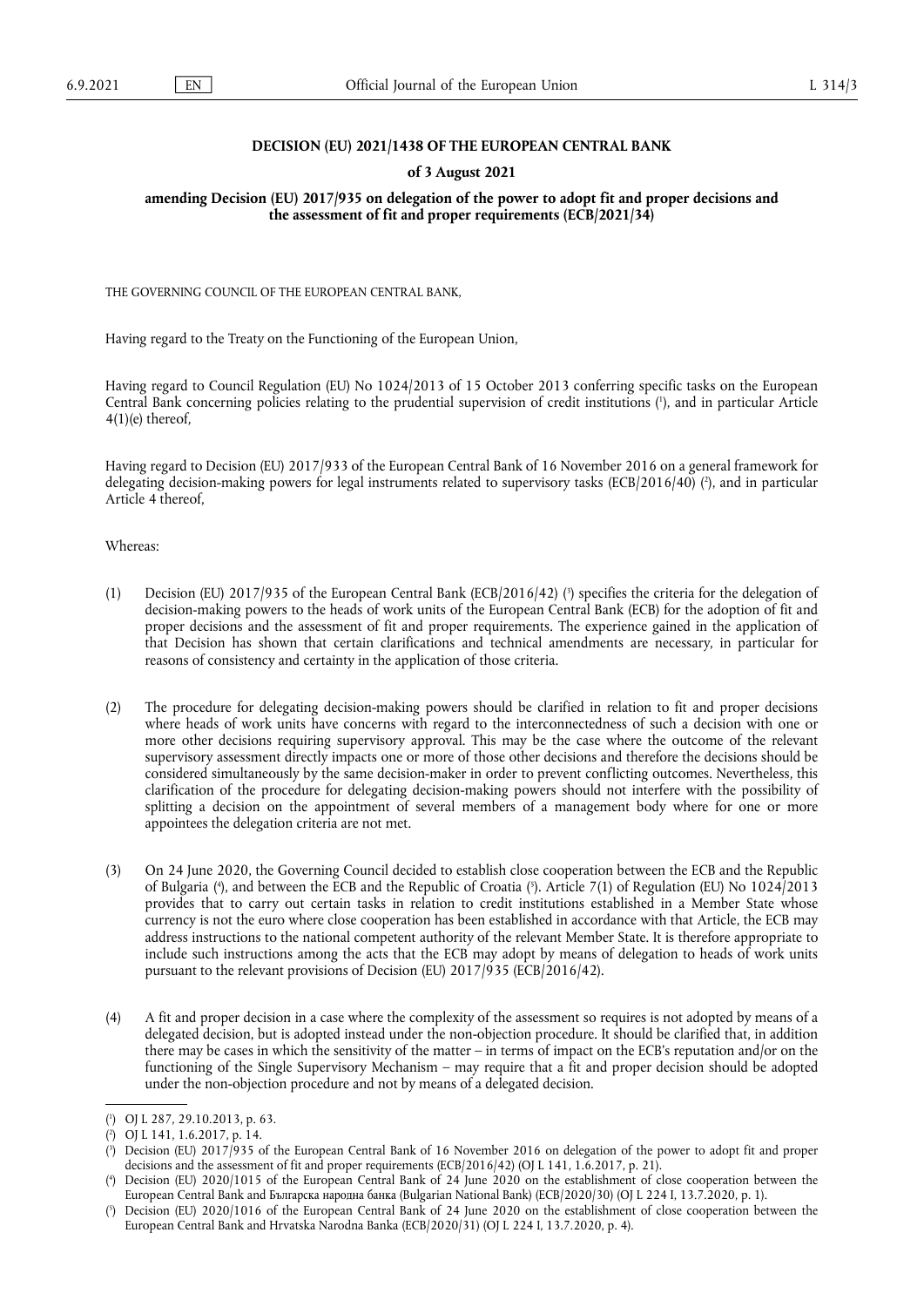### **DECISION (EU) 2021/1438 OF THE EUROPEAN CENTRAL BANK**

#### **of 3 August 2021**

#### **amending Decision (EU) 2017/935 on delegation of the power to adopt fit and proper decisions and the assessment of fit and proper requirements (ECB/2021/34)**

THE GOVERNING COUNCIL OF THE EUROPEAN CENTRAL BANK,

Having regard to the Treaty on the Functioning of the European Union,

<span id="page-0-5"></span>Having regard to Council Regulation (EU) No 1024/2013 of 15 October 2013 conferring specific tasks on the European Central Bank concerning policies relating to the prudential supervision of credit institutions ( 1 [\),](#page-0-0) and in particular Article 4(1)(e) thereof,

<span id="page-0-6"></span>Having regard to Decision (EU) 2017/933 of the European Central Bank of 16 November 2016 on a general framework for delegating decision-making powers for legal instruments related to supervisory tasks (ECB/2016/40) ( 2 [\),](#page-0-1) and in particular Article 4 thereof,

Whereas:

- <span id="page-0-7"></span>(1) Decision (EU) 2017/935 of the European Central Bank (ECB/2016/42) [\(](#page-0-2) 3 ) specifies the criteria for the delegation of decision-making powers to the heads of work units of the European Central Bank (ECB) for the adoption of fit and proper decisions and the assessment of fit and proper requirements. The experience gained in the application of that Decision has shown that certain clarifications and technical amendments are necessary, in particular for reasons of consistency and certainty in the application of those criteria.
- (2) The procedure for delegating decision-making powers should be clarified in relation to fit and proper decisions where heads of work units have concerns with regard to the interconnectedness of such a decision with one or more other decisions requiring supervisory approval. This may be the case where the outcome of the relevant supervisory assessment directly impacts one or more of those other decisions and therefore the decisions should be considered simultaneously by the same decision-maker in order to prevent conflicting outcomes. Nevertheless, this clarification of the procedure for delegating decision-making powers should not interfere with the possibility of splitting a decision on the appointment of several members of a management body where for one or more appointees the delegation criteria are not met.
- <span id="page-0-8"></span>(3) On 24 June 2020, the Governing Council decided to establish close cooperation between the ECB and the Republic of Bulgaria [\(](#page-0-3) 4 ), and between the ECB and the Republic of Croatia ( 5 [\).](#page-0-4) Article 7(1) of Regulation (EU) No 1024/2013 provides that to carry out certain tasks in relation to credit institutions established in a Member State whose currency is not the euro where close cooperation has been established in accordance with that Article, the ECB may address instructions to the national competent authority of the relevant Member State. It is therefore appropriate to include such instructions among the acts that the ECB may adopt by means of delegation to heads of work units pursuant to the relevant provisions of Decision (EU) 2017/935 (ECB/2016/42).
- (4) A fit and proper decision in a case where the complexity of the assessment so requires is not adopted by means of a delegated decision, but is adopted instead under the non-objection procedure. It should be clarified that, in addition there may be cases in which the sensitivity of the matter – in terms of impact on the ECB's reputation and/or on the functioning of the Single Supervisory Mechanism – may require that a fit and proper decision should be adopted under the non-objection procedure and not by means of a delegated decision.

<span id="page-0-0"></span>[<sup>\(</sup>](#page-0-5) 1 ) OJ L 287, 29.10.2013, p. 63.

<span id="page-0-1"></span>[<sup>\(</sup>](#page-0-6) 2 ) OJ L 141, 1.6.2017, p. 14.

<span id="page-0-2"></span>[<sup>\(</sup>](#page-0-7) 3 ) Decision (EU) 2017/935 of the European Central Bank of 16 November 2016 on delegation of the power to adopt fit and proper decisions and the assessment of fit and proper requirements (ECB/2016/42) (OJ L 141, 1.6.2017, p. 21).

<span id="page-0-3"></span>[<sup>\(</sup>](#page-0-8) 4 ) Decision (EU) 2020/1015 of the European Central Bank of 24 June 2020 on the establishment of close cooperation between the European Central Bank and Българска народна банка (Bulgarian National Bank) (ECB/2020/30) (OJ L 224 I, 13.7.2020, p. 1).

<span id="page-0-4"></span>[<sup>\(</sup>](#page-0-8) 5 ) Decision (EU) 2020/1016 of the European Central Bank of 24 June 2020 on the establishment of close cooperation between the European Central Bank and Hrvatska Narodna Banka (ECB/2020/31) (OJ L 224 I, 13.7.2020, p. 4).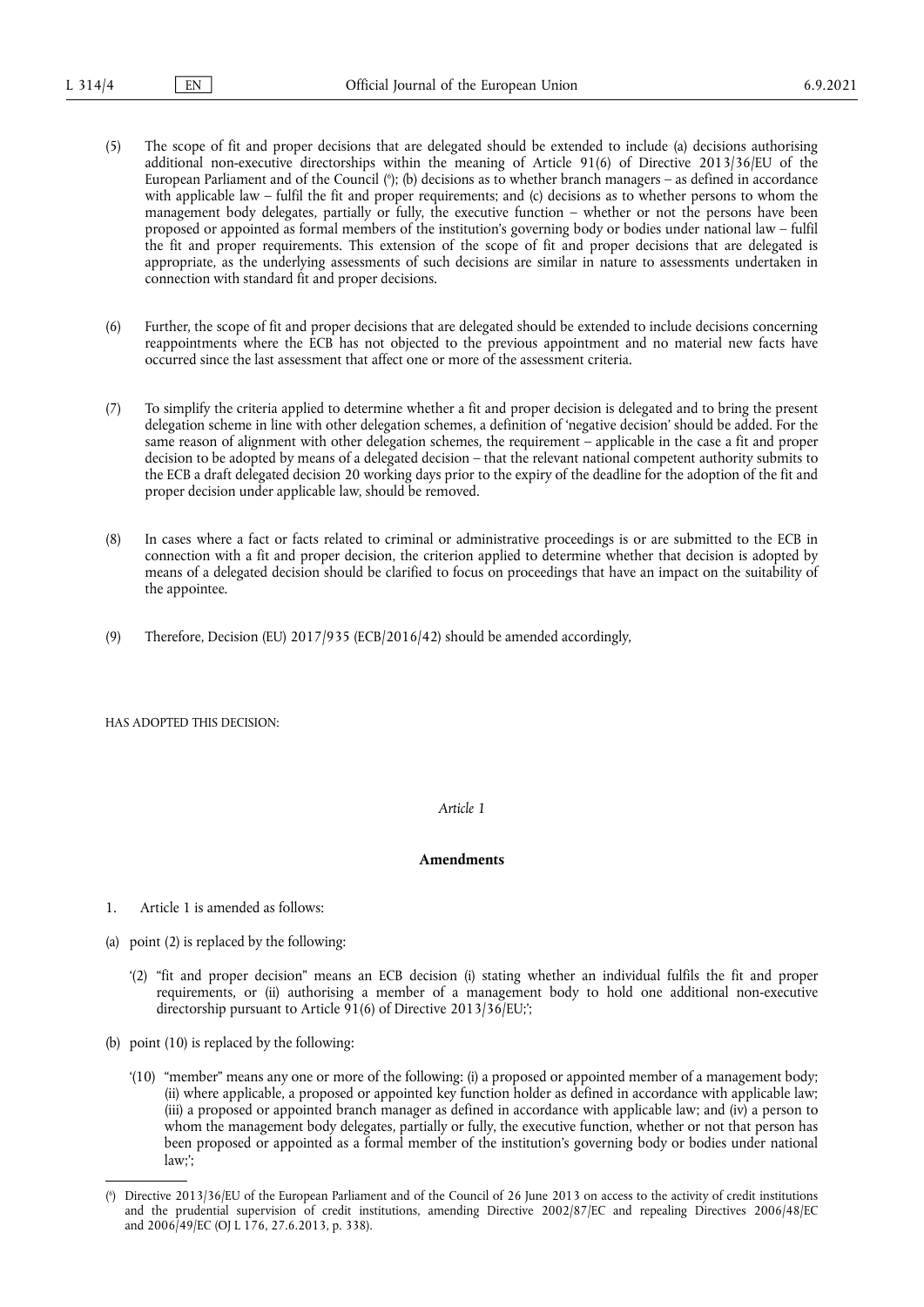- <span id="page-1-1"></span>(5) The scope of fit and proper decisions that are delegated should be extended to include (a) decisions authorising additional non-executive directorships within the meaning of Article 91(6) of Directive 2013/36/EU of the European Parliament and of the Council ( 6 [\);](#page-1-0) (b) decisions as to whether branch managers – as defined in accordance with applicable law – fulfil the fit and proper requirements; and (c) decisions as to whether persons to whom the management body delegates, partially or fully, the executive function – whether or not the persons have been proposed or appointed as formal members of the institution's governing body or bodies under national law – fulfil the fit and proper requirements. This extension of the scope of fit and proper decisions that are delegated is appropriate, as the underlying assessments of such decisions are similar in nature to assessments undertaken in connection with standard fit and proper decisions.
- (6) Further, the scope of fit and proper decisions that are delegated should be extended to include decisions concerning reappointments where the ECB has not objected to the previous appointment and no material new facts have occurred since the last assessment that affect one or more of the assessment criteria.
- (7) To simplify the criteria applied to determine whether a fit and proper decision is delegated and to bring the present delegation scheme in line with other delegation schemes, a definition of 'negative decision' should be added. For the same reason of alignment with other delegation schemes, the requirement - applicable in the case a fit and proper decision to be adopted by means of a delegated decision – that the relevant national competent authority submits to the ECB a draft delegated decision 20 working days prior to the expiry of the deadline for the adoption of the fit and proper decision under applicable law, should be removed.
- (8) In cases where a fact or facts related to criminal or administrative proceedings is or are submitted to the ECB in connection with a fit and proper decision, the criterion applied to determine whether that decision is adopted by means of a delegated decision should be clarified to focus on proceedings that have an impact on the suitability of the appointee.
- (9) Therefore, Decision (EU) 2017/935 (ECB/2016/42) should be amended accordingly,

HAS ADOPTED THIS DECISION:

#### *Article 1*

## **Amendments**

- 1. Article 1 is amended as follows:
- (a) point (2) is replaced by the following:
	- '(2) "fit and proper decision" means an ECB decision (i) stating whether an individual fulfils the fit and proper requirements, or (ii) authorising a member of a management body to hold one additional non-executive directorship pursuant to Article 91(6) of Directive 2013/36/EU;';
- (b) point (10) is replaced by the following:
	- '(10) "member" means any one or more of the following: (i) a proposed or appointed member of a management body; (ii) where applicable, a proposed or appointed key function holder as defined in accordance with applicable law; (iii) a proposed or appointed branch manager as defined in accordance with applicable law; and (iv) a person to whom the management body delegates, partially or fully, the executive function, whether or not that person has been proposed or appointed as a formal member of the institution's governing body or bodies under national law;';

<span id="page-1-0"></span>[<sup>\(</sup>](#page-1-1) 6 ) Directive 2013/36/EU of the European Parliament and of the Council of 26 June 2013 on access to the activity of credit institutions and the prudential supervision of credit institutions, amending Directive 2002/87/EC and repealing Directives 2006/48/EC and 2006/49/EC (OJ L 176, 27.6.2013, p. 338).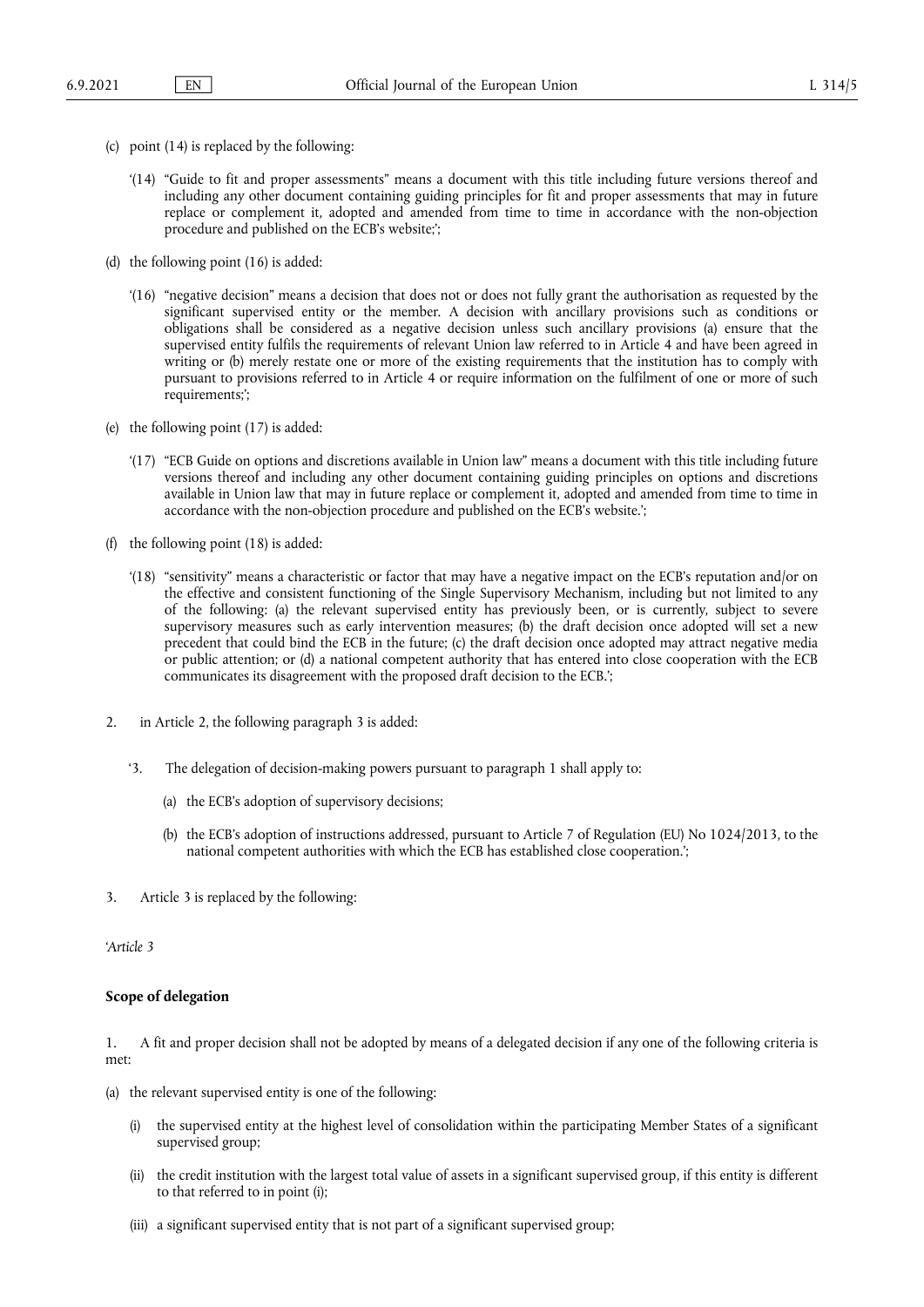- (c) point (14) is replaced by the following:
	- '(14) "Guide to fit and proper assessments" means a document with this title including future versions thereof and including any other document containing guiding principles for fit and proper assessments that may in future replace or complement it, adopted and amended from time to time in accordance with the non-objection procedure and published on the ECB's website;';
- (d) the following point (16) is added:
	- '(16) "negative decision" means a decision that does not or does not fully grant the authorisation as requested by the significant supervised entity or the member. A decision with ancillary provisions such as conditions or obligations shall be considered as a negative decision unless such ancillary provisions (a) ensure that the supervised entity fulfils the requirements of relevant Union law referred to in Article 4 and have been agreed in writing or (b) merely restate one or more of the existing requirements that the institution has to comply with pursuant to provisions referred to in Article 4 or require information on the fulfilment of one or more of such requirements;';
- (e) the following point (17) is added:
	- '(17) "ECB Guide on options and discretions available in Union law" means a document with this title including future versions thereof and including any other document containing guiding principles on options and discretions available in Union law that may in future replace or complement it, adopted and amended from time to time in accordance with the non-objection procedure and published on the ECB's website.';
- (f) the following point (18) is added:
	- '(18) "sensitivity" means a characteristic or factor that may have a negative impact on the ECB's reputation and/or on the effective and consistent functioning of the Single Supervisory Mechanism, including but not limited to any of the following: (a) the relevant supervised entity has previously been, or is currently, subject to severe supervisory measures such as early intervention measures; (b) the draft decision once adopted will set a new precedent that could bind the ECB in the future; (c) the draft decision once adopted may attract negative media or public attention; or (d) a national competent authority that has entered into close cooperation with the ECB communicates its disagreement with the proposed draft decision to the ECB.';
- 2. in Article 2, the following paragraph 3 is added:
	- '3. The delegation of decision-making powers pursuant to paragraph 1 shall apply to:
		- (a) the ECB's adoption of supervisory decisions;
		- (b) the ECB's adoption of instructions addressed, pursuant to Article 7 of Regulation (EU) No 1024/2013, to the national competent authorities with which the ECB has established close cooperation.';
- 3. Article 3 is replaced by the following:

*'Article 3*

## **Scope of delegation**

1. A fit and proper decision shall not be adopted by means of a delegated decision if any one of the following criteria is met:

- (a) the relevant supervised entity is one of the following:
	- (i) the supervised entity at the highest level of consolidation within the participating Member States of a significant supervised group;
	- (ii) the credit institution with the largest total value of assets in a significant supervised group, if this entity is different to that referred to in point (i);
	- (iii) a significant supervised entity that is not part of a significant supervised group;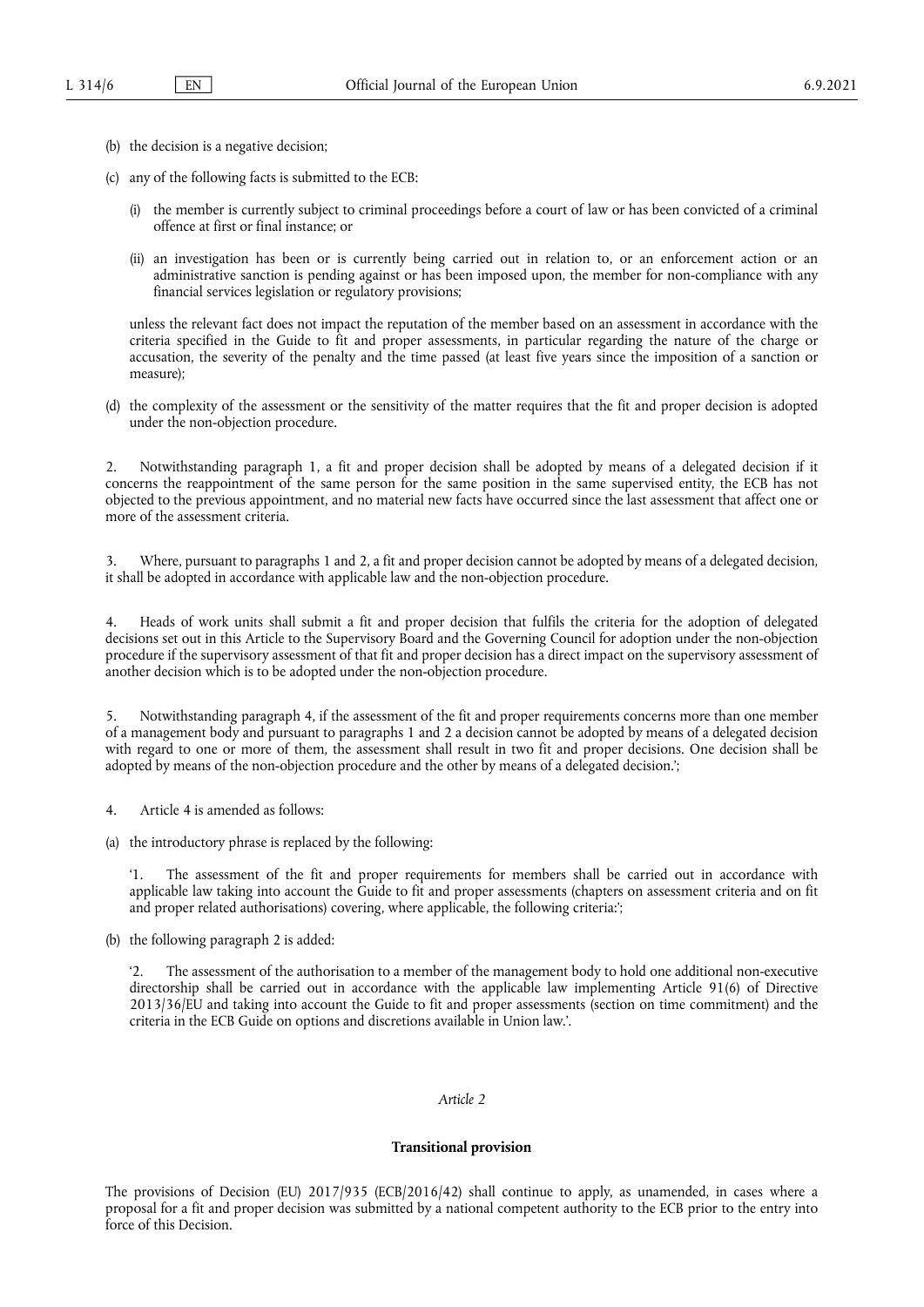- (b) the decision is a negative decision;
- (c) any of the following facts is submitted to the ECB:
	- (i) the member is currently subject to criminal proceedings before a court of law or has been convicted of a criminal offence at first or final instance; or
	- (ii) an investigation has been or is currently being carried out in relation to, or an enforcement action or an administrative sanction is pending against or has been imposed upon, the member for non-compliance with any financial services legislation or regulatory provisions;

unless the relevant fact does not impact the reputation of the member based on an assessment in accordance with the criteria specified in the Guide to fit and proper assessments, in particular regarding the nature of the charge or accusation, the severity of the penalty and the time passed (at least five years since the imposition of a sanction or measure);

(d) the complexity of the assessment or the sensitivity of the matter requires that the fit and proper decision is adopted under the non-objection procedure.

2. Notwithstanding paragraph 1, a fit and proper decision shall be adopted by means of a delegated decision if it concerns the reappointment of the same person for the same position in the same supervised entity, the ECB has not objected to the previous appointment, and no material new facts have occurred since the last assessment that affect one or more of the assessment criteria.

3. Where, pursuant to paragraphs 1 and 2, a fit and proper decision cannot be adopted by means of a delegated decision, it shall be adopted in accordance with applicable law and the non-objection procedure.

4. Heads of work units shall submit a fit and proper decision that fulfils the criteria for the adoption of delegated decisions set out in this Article to the Supervisory Board and the Governing Council for adoption under the non-objection procedure if the supervisory assessment of that fit and proper decision has a direct impact on the supervisory assessment of another decision which is to be adopted under the non-objection procedure.

5. Notwithstanding paragraph 4, if the assessment of the fit and proper requirements concerns more than one member of a management body and pursuant to paragraphs 1 and 2 a decision cannot be adopted by means of a delegated decision with regard to one or more of them, the assessment shall result in two fit and proper decisions. One decision shall be adopted by means of the non-objection procedure and the other by means of a delegated decision.';

- 4. Article 4 is amended as follows:
- (a) the introductory phrase is replaced by the following:

'1. The assessment of the fit and proper requirements for members shall be carried out in accordance with applicable law taking into account the Guide to fit and proper assessments (chapters on assessment criteria and on fit and proper related authorisations) covering, where applicable, the following criteria:';

(b) the following paragraph 2 is added:

The assessment of the authorisation to a member of the management body to hold one additional non-executive directorship shall be carried out in accordance with the applicable law implementing Article 91(6) of Directive 2013/36/EU and taking into account the Guide to fit and proper assessments (section on time commitment) and the criteria in the ECB Guide on options and discretions available in Union law.'.

### *Article 2*

#### **Transitional provision**

The provisions of Decision (EU) 2017/935 (ECB/2016/42) shall continue to apply, as unamended, in cases where a proposal for a fit and proper decision was submitted by a national competent authority to the ECB prior to the entry into force of this Decision.